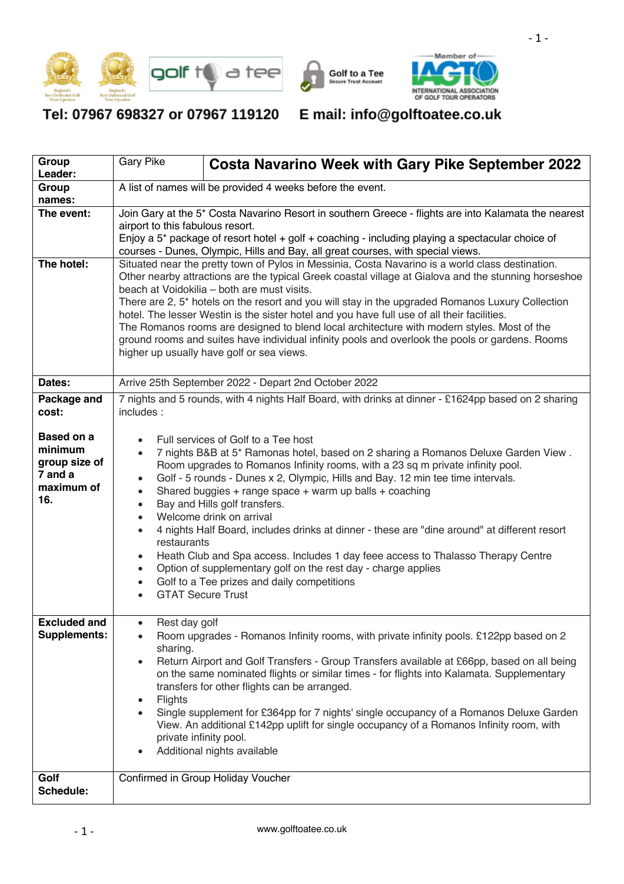





Tel: 07967 698327 or 07967 119120 E mail: info@golftoatee.co.uk

| Group<br>Leader:                                                              | <b>Gary Pike</b>                                                                                                                                                                                                                                                                                                                                                                                                                                                                                                                                                                                                                                                                                                                                                                                                                                                              | <b>Costa Navarino Week with Gary Pike September 2022</b>                                                                                                                                                                                                                                                                                                                                                                                                                                                                                              |  |  |  |  |  |
|-------------------------------------------------------------------------------|-------------------------------------------------------------------------------------------------------------------------------------------------------------------------------------------------------------------------------------------------------------------------------------------------------------------------------------------------------------------------------------------------------------------------------------------------------------------------------------------------------------------------------------------------------------------------------------------------------------------------------------------------------------------------------------------------------------------------------------------------------------------------------------------------------------------------------------------------------------------------------|-------------------------------------------------------------------------------------------------------------------------------------------------------------------------------------------------------------------------------------------------------------------------------------------------------------------------------------------------------------------------------------------------------------------------------------------------------------------------------------------------------------------------------------------------------|--|--|--|--|--|
| Group<br>names:                                                               | A list of names will be provided 4 weeks before the event.                                                                                                                                                                                                                                                                                                                                                                                                                                                                                                                                                                                                                                                                                                                                                                                                                    |                                                                                                                                                                                                                                                                                                                                                                                                                                                                                                                                                       |  |  |  |  |  |
| The event:                                                                    | Join Gary at the 5* Costa Navarino Resort in southern Greece - flights are into Kalamata the nearest<br>airport to this fabulous resort.<br>Enjoy a 5* package of resort hotel + golf + coaching - including playing a spectacular choice of<br>courses - Dunes, Olympic, Hills and Bay, all great courses, with special views.                                                                                                                                                                                                                                                                                                                                                                                                                                                                                                                                               |                                                                                                                                                                                                                                                                                                                                                                                                                                                                                                                                                       |  |  |  |  |  |
| The hotel:                                                                    | Situated near the pretty town of Pylos in Messinia, Costa Navarino is a world class destination.<br>Other nearby attractions are the typical Greek coastal village at Gialova and the stunning horseshoe<br>beach at Voidokilia – both are must visits.<br>There are 2, 5 <sup>*</sup> hotels on the resort and you will stay in the upgraded Romanos Luxury Collection<br>hotel. The lesser Westin is the sister hotel and you have full use of all their facilities.<br>The Romanos rooms are designed to blend local architecture with modern styles. Most of the<br>ground rooms and suites have individual infinity pools and overlook the pools or gardens. Rooms<br>higher up usually have golf or sea views.                                                                                                                                                          |                                                                                                                                                                                                                                                                                                                                                                                                                                                                                                                                                       |  |  |  |  |  |
| Dates:                                                                        | Arrive 25th September 2022 - Depart 2nd October 2022                                                                                                                                                                                                                                                                                                                                                                                                                                                                                                                                                                                                                                                                                                                                                                                                                          |                                                                                                                                                                                                                                                                                                                                                                                                                                                                                                                                                       |  |  |  |  |  |
| Package and<br>cost:                                                          | 7 nights and 5 rounds, with 4 nights Half Board, with drinks at dinner - £1624pp based on 2 sharing<br>includes:                                                                                                                                                                                                                                                                                                                                                                                                                                                                                                                                                                                                                                                                                                                                                              |                                                                                                                                                                                                                                                                                                                                                                                                                                                                                                                                                       |  |  |  |  |  |
| <b>Based on a</b><br>minimum<br>group size of<br>7 and a<br>maximum of<br>16. | Full services of Golf to a Tee host<br>7 nights B&B at 5* Ramonas hotel, based on 2 sharing a Romanos Deluxe Garden View.<br>$\bullet$<br>Room upgrades to Romanos Infinity rooms, with a 23 sq m private infinity pool.<br>Golf - 5 rounds - Dunes x 2, Olympic, Hills and Bay. 12 min tee time intervals.<br>Shared buggies + range space + warm up balls + coaching<br>$\bullet$<br>Bay and Hills golf transfers.<br>$\bullet$<br>Welcome drink on arrival<br>$\bullet$<br>4 nights Half Board, includes drinks at dinner - these are "dine around" at different resort<br>$\bullet$<br>restaurants<br>Heath Club and Spa access. Includes 1 day feee access to Thalasso Therapy Centre<br>$\bullet$<br>Option of supplementary golf on the rest day - charge applies<br>$\bullet$<br>Golf to a Tee prizes and daily competitions<br>$\bullet$<br><b>GTAT Secure Trust</b> |                                                                                                                                                                                                                                                                                                                                                                                                                                                                                                                                                       |  |  |  |  |  |
| <b>Excluded and</b><br><b>Supplements:</b>                                    | Rest day golf<br>sharing.<br>$\bullet$<br>Flights<br>$\bullet$<br>private infinity pool.                                                                                                                                                                                                                                                                                                                                                                                                                                                                                                                                                                                                                                                                                                                                                                                      | Room upgrades - Romanos Infinity rooms, with private infinity pools. £122pp based on 2<br>Return Airport and Golf Transfers - Group Transfers available at £66pp, based on all being<br>on the same nominated flights or similar times - for flights into Kalamata. Supplementary<br>transfers for other flights can be arranged.<br>Single supplement for £364pp for 7 nights' single occupancy of a Romanos Deluxe Garden<br>View. An additional £142pp uplift for single occupancy of a Romanos Infinity room, with<br>Additional nights available |  |  |  |  |  |
| Golf<br>Schedule:                                                             |                                                                                                                                                                                                                                                                                                                                                                                                                                                                                                                                                                                                                                                                                                                                                                                                                                                                               | Confirmed in Group Holiday Voucher                                                                                                                                                                                                                                                                                                                                                                                                                                                                                                                    |  |  |  |  |  |